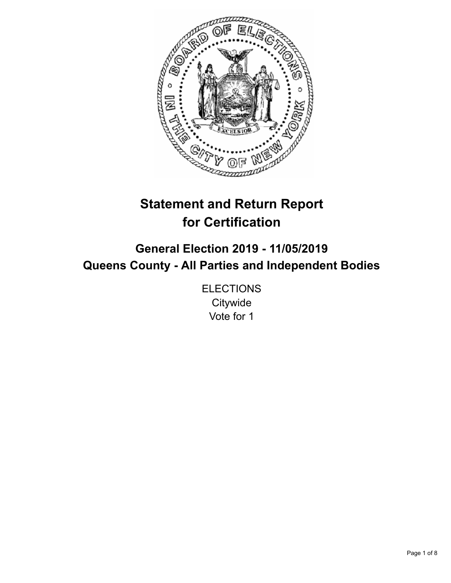

# **Statement and Return Report for Certification**

# **General Election 2019 - 11/05/2019 Queens County - All Parties and Independent Bodies**

**ELECTIONS Citywide** Vote for 1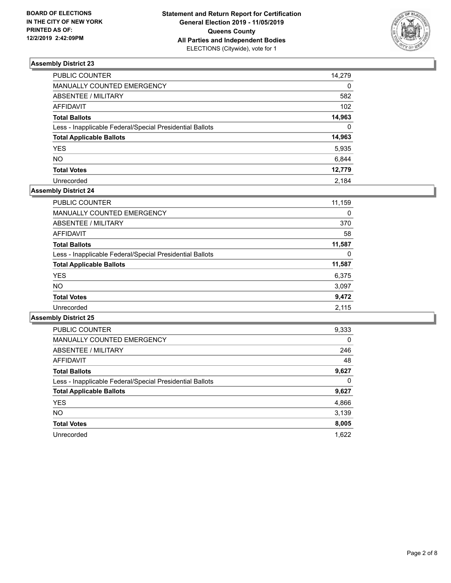

| PUBLIC COUNTER                                           | 14,279   |
|----------------------------------------------------------|----------|
| MANUALLY COUNTED EMERGENCY                               | 0        |
| ABSENTEE / MILITARY                                      | 582      |
| AFFIDAVIT                                                | 102      |
| <b>Total Ballots</b>                                     | 14,963   |
| Less - Inapplicable Federal/Special Presidential Ballots | $\Omega$ |
| <b>Total Applicable Ballots</b>                          | 14,963   |
| <b>YES</b>                                               | 5,935    |
| <b>NO</b>                                                | 6,844    |
| <b>Total Votes</b>                                       | 12,779   |
| Unrecorded                                               | 2.184    |

## **Assembly District 24**

| <b>PUBLIC COUNTER</b>                                    | 11,159 |
|----------------------------------------------------------|--------|
| <b>MANUALLY COUNTED EMERGENCY</b>                        | 0      |
| ABSENTEE / MILITARY                                      | 370    |
| AFFIDAVIT                                                | 58     |
| <b>Total Ballots</b>                                     | 11,587 |
| Less - Inapplicable Federal/Special Presidential Ballots | 0      |
| <b>Total Applicable Ballots</b>                          | 11,587 |
| <b>YES</b>                                               | 6,375  |
| <b>NO</b>                                                | 3,097  |
| <b>Total Votes</b>                                       | 9,472  |
| Unrecorded                                               | 2,115  |

| <b>PUBLIC COUNTER</b>                                    | 9,333    |
|----------------------------------------------------------|----------|
| <b>MANUALLY COUNTED EMERGENCY</b>                        | $\Omega$ |
| ABSENTEE / MILITARY                                      | 246      |
| AFFIDAVIT                                                | 48       |
| <b>Total Ballots</b>                                     | 9,627    |
| Less - Inapplicable Federal/Special Presidential Ballots | 0        |
| <b>Total Applicable Ballots</b>                          | 9,627    |
| <b>YES</b>                                               | 4,866    |
| <b>NO</b>                                                | 3,139    |
| <b>Total Votes</b>                                       | 8,005    |
| Unrecorded                                               | 1.622    |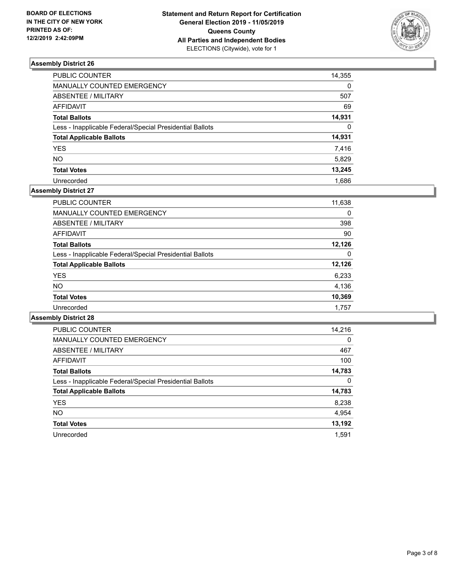

| PUBLIC COUNTER                                           | 14,355   |
|----------------------------------------------------------|----------|
| MANUALLY COUNTED EMERGENCY                               | 0        |
| ABSENTEE / MILITARY                                      | 507      |
| AFFIDAVIT                                                | 69       |
| <b>Total Ballots</b>                                     | 14,931   |
| Less - Inapplicable Federal/Special Presidential Ballots | $\Omega$ |
| <b>Total Applicable Ballots</b>                          | 14,931   |
| <b>YES</b>                                               | 7,416    |
| <b>NO</b>                                                | 5,829    |
| <b>Total Votes</b>                                       | 13,245   |
| Unrecorded                                               | 1.686    |

# **Assembly District 27**

| <b>PUBLIC COUNTER</b>                                    | 11,638 |
|----------------------------------------------------------|--------|
| <b>MANUALLY COUNTED EMERGENCY</b>                        | 0      |
| ABSENTEE / MILITARY                                      | 398    |
| AFFIDAVIT                                                | 90     |
| <b>Total Ballots</b>                                     | 12.126 |
| Less - Inapplicable Federal/Special Presidential Ballots | 0      |
| <b>Total Applicable Ballots</b>                          | 12,126 |
| <b>YES</b>                                               | 6,233  |
| <b>NO</b>                                                | 4,136  |
| <b>Total Votes</b>                                       | 10,369 |
| Unrecorded                                               | 1.757  |

| <b>PUBLIC COUNTER</b>                                    | 14,216   |
|----------------------------------------------------------|----------|
| <b>MANUALLY COUNTED EMERGENCY</b>                        | $\Omega$ |
| ABSENTEE / MILITARY                                      | 467      |
| <b>AFFIDAVIT</b>                                         | 100      |
| <b>Total Ballots</b>                                     | 14,783   |
| Less - Inapplicable Federal/Special Presidential Ballots | 0        |
| <b>Total Applicable Ballots</b>                          | 14,783   |
| <b>YES</b>                                               | 8,238    |
| NO.                                                      | 4,954    |
| <b>Total Votes</b>                                       | 13,192   |
| Unrecorded                                               | 1.591    |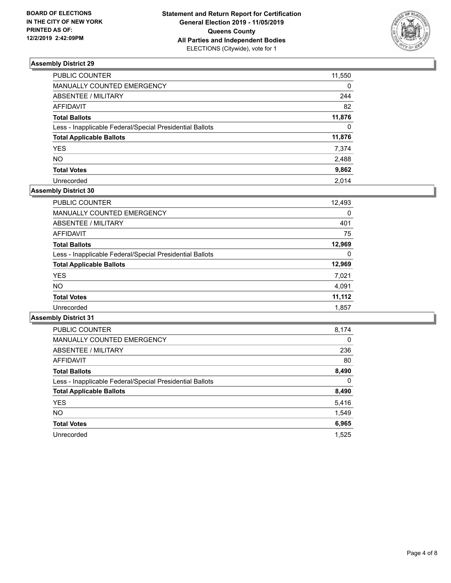

| PUBLIC COUNTER                                           | 11,550   |
|----------------------------------------------------------|----------|
| MANUALLY COUNTED EMERGENCY                               | 0        |
| ABSENTEE / MILITARY                                      | 244      |
| AFFIDAVIT                                                | 82       |
| <b>Total Ballots</b>                                     | 11,876   |
| Less - Inapplicable Federal/Special Presidential Ballots | $\Omega$ |
| <b>Total Applicable Ballots</b>                          | 11,876   |
| <b>YES</b>                                               | 7,374    |
| NΟ                                                       | 2,488    |
| <b>Total Votes</b>                                       | 9,862    |
| Unrecorded                                               | 2.014    |

# **Assembly District 30**

| <b>PUBLIC COUNTER</b>                                    | 12,493 |
|----------------------------------------------------------|--------|
| <b>MANUALLY COUNTED EMERGENCY</b>                        | 0      |
| ABSENTEE / MILITARY                                      | 401    |
| AFFIDAVIT                                                | 75     |
| <b>Total Ballots</b>                                     | 12,969 |
| Less - Inapplicable Federal/Special Presidential Ballots | 0      |
| <b>Total Applicable Ballots</b>                          | 12,969 |
| <b>YES</b>                                               | 7,021  |
| <b>NO</b>                                                | 4,091  |
| <b>Total Votes</b>                                       | 11,112 |
| Unrecorded                                               | 1,857  |

| <b>PUBLIC COUNTER</b>                                    | 8,174    |
|----------------------------------------------------------|----------|
| <b>MANUALLY COUNTED EMERGENCY</b>                        | $\Omega$ |
| ABSENTEE / MILITARY                                      | 236      |
| <b>AFFIDAVIT</b>                                         | 80       |
| <b>Total Ballots</b>                                     | 8,490    |
| Less - Inapplicable Federal/Special Presidential Ballots | 0        |
| <b>Total Applicable Ballots</b>                          | 8,490    |
| <b>YES</b>                                               | 5,416    |
| <b>NO</b>                                                | 1,549    |
| <b>Total Votes</b>                                       | 6,965    |
| Unrecorded                                               | 1.525    |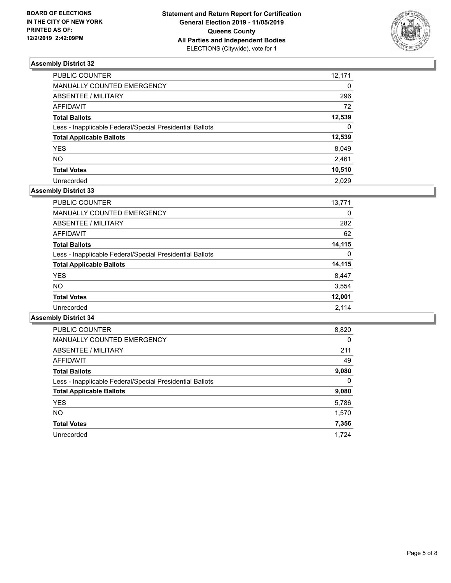

| PUBLIC COUNTER                                           | 12,171   |
|----------------------------------------------------------|----------|
| MANUALLY COUNTED EMERGENCY                               | 0        |
| ABSENTEE / MILITARY                                      | 296      |
| <b>AFFIDAVIT</b>                                         | 72       |
| <b>Total Ballots</b>                                     | 12,539   |
| Less - Inapplicable Federal/Special Presidential Ballots | $\Omega$ |
| <b>Total Applicable Ballots</b>                          | 12,539   |
| <b>YES</b>                                               | 8,049    |
| <b>NO</b>                                                | 2,461    |
| <b>Total Votes</b>                                       | 10,510   |
| Unrecorded                                               | 2.029    |

# **Assembly District 33**

| <b>PUBLIC COUNTER</b>                                    | 13,771 |
|----------------------------------------------------------|--------|
| <b>MANUALLY COUNTED EMERGENCY</b>                        | 0      |
| ABSENTEE / MILITARY                                      | 282    |
| AFFIDAVIT                                                | 62     |
| <b>Total Ballots</b>                                     | 14,115 |
| Less - Inapplicable Federal/Special Presidential Ballots | 0      |
| <b>Total Applicable Ballots</b>                          | 14,115 |
| <b>YES</b>                                               | 8,447  |
| <b>NO</b>                                                | 3,554  |
| <b>Total Votes</b>                                       | 12,001 |
| Unrecorded                                               | 2.114  |

| <b>PUBLIC COUNTER</b>                                    | 8,820    |
|----------------------------------------------------------|----------|
| <b>MANUALLY COUNTED EMERGENCY</b>                        | $\Omega$ |
| ABSENTEE / MILITARY                                      | 211      |
| AFFIDAVIT                                                | 49       |
| <b>Total Ballots</b>                                     | 9,080    |
| Less - Inapplicable Federal/Special Presidential Ballots | $\Omega$ |
| <b>Total Applicable Ballots</b>                          | 9,080    |
| <b>YES</b>                                               | 5,786    |
| <b>NO</b>                                                | 1,570    |
| <b>Total Votes</b>                                       | 7,356    |
| Unrecorded                                               | 1,724    |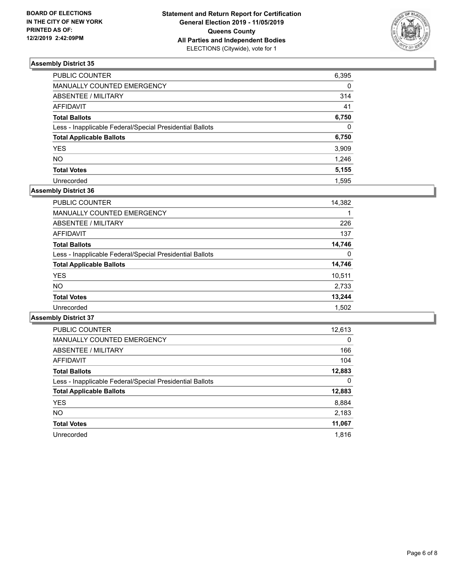

| <b>PUBLIC COUNTER</b>                                    | 6,395    |
|----------------------------------------------------------|----------|
| MANUALLY COUNTED EMERGENCY                               | $\Omega$ |
| <b>ABSENTEE / MILITARY</b>                               | 314      |
| <b>AFFIDAVIT</b>                                         | 41       |
| <b>Total Ballots</b>                                     | 6,750    |
| Less - Inapplicable Federal/Special Presidential Ballots | $\Omega$ |
| <b>Total Applicable Ballots</b>                          | 6,750    |
| <b>YES</b>                                               | 3,909    |
| <b>NO</b>                                                | 1,246    |
| <b>Total Votes</b>                                       | 5,155    |
| Unrecorded                                               | 1.595    |

## **Assembly District 36**

| <b>PUBLIC COUNTER</b>                                    | 14,382 |
|----------------------------------------------------------|--------|
| <b>MANUALLY COUNTED EMERGENCY</b>                        | 1      |
| ABSENTEE / MILITARY                                      | 226    |
| AFFIDAVIT                                                | 137    |
| <b>Total Ballots</b>                                     | 14,746 |
| Less - Inapplicable Federal/Special Presidential Ballots | 0      |
| <b>Total Applicable Ballots</b>                          | 14,746 |
| <b>YES</b>                                               | 10,511 |
| <b>NO</b>                                                | 2,733  |
| <b>Total Votes</b>                                       | 13,244 |
| Unrecorded                                               | 1,502  |

| <b>PUBLIC COUNTER</b>                                    | 12,613   |
|----------------------------------------------------------|----------|
| <b>MANUALLY COUNTED EMERGENCY</b>                        | $\Omega$ |
| ABSENTEE / MILITARY                                      | 166      |
| <b>AFFIDAVIT</b>                                         | 104      |
| <b>Total Ballots</b>                                     | 12,883   |
| Less - Inapplicable Federal/Special Presidential Ballots | 0        |
| <b>Total Applicable Ballots</b>                          | 12,883   |
| <b>YES</b>                                               | 8,884    |
| <b>NO</b>                                                | 2,183    |
| <b>Total Votes</b>                                       | 11,067   |
| Unrecorded                                               | 1.816    |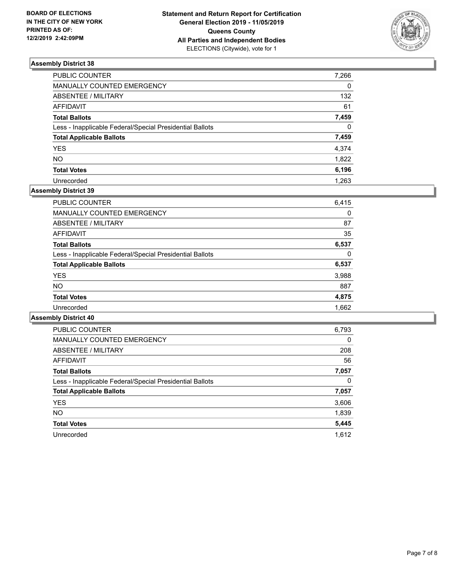

| PUBLIC COUNTER                                           | 7,266    |
|----------------------------------------------------------|----------|
| MANUALLY COUNTED EMERGENCY                               | 0        |
| ABSENTEE / MILITARY                                      | 132      |
| AFFIDAVIT                                                | 61       |
| Total Ballots                                            | 7,459    |
| Less - Inapplicable Federal/Special Presidential Ballots | $\Omega$ |
| <b>Total Applicable Ballots</b>                          | 7,459    |
| YES                                                      | 4,374    |
| NO.                                                      | 1,822    |
| <b>Total Votes</b>                                       | 6,196    |
| Unrecorded                                               | 1,263    |

# **Assembly District 39**

| <b>PUBLIC COUNTER</b>                                    | 6,415 |
|----------------------------------------------------------|-------|
| <b>MANUALLY COUNTED EMERGENCY</b>                        | 0     |
| ABSENTEE / MILITARY                                      | 87    |
| AFFIDAVIT                                                | 35    |
| <b>Total Ballots</b>                                     | 6,537 |
| Less - Inapplicable Federal/Special Presidential Ballots | 0     |
| <b>Total Applicable Ballots</b>                          | 6,537 |
| <b>YES</b>                                               | 3,988 |
| <b>NO</b>                                                | 887   |
| <b>Total Votes</b>                                       | 4,875 |
| Unrecorded                                               | 1,662 |

| <b>PUBLIC COUNTER</b>                                    | 6,793    |
|----------------------------------------------------------|----------|
| <b>MANUALLY COUNTED EMERGENCY</b>                        | $\Omega$ |
| ABSENTEE / MILITARY                                      | 208      |
| <b>AFFIDAVIT</b>                                         | 56       |
| <b>Total Ballots</b>                                     | 7,057    |
| Less - Inapplicable Federal/Special Presidential Ballots | 0        |
| <b>Total Applicable Ballots</b>                          | 7,057    |
| <b>YES</b>                                               | 3,606    |
| NO.                                                      | 1,839    |
| <b>Total Votes</b>                                       | 5,445    |
| Unrecorded                                               | 1.612    |